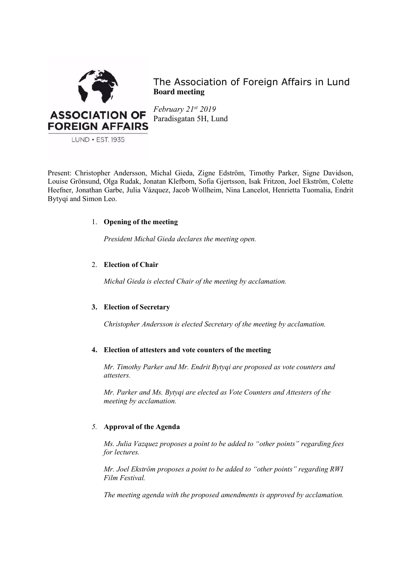

The Association of Foreign Affairs in Lund **Board meeting**

*February 21st 2019* Paradisgatan 5H, Lund

Present: Christopher Andersson, Michal Gieda, Zigne Edström, Timothy Parker, Signe Davidson, Louise Grönsund, Olga Rudak, Jonatan Klefbom, Sofia Gjertsson, Isak Fritzon, Joel Ekström, Colette Heefner, Jonathan Garbe, Julia Vázquez, Jacob Wollheim, Nina Lancelot, Henrietta Tuomalia, Endrit Bytyqi and Simon Leo.

# 1. **Opening of the meeting**

*President Michal Gieda declares the meeting open.*

# 2. **Election of Chair**

*Michal Gieda is elected Chair of the meeting by acclamation.*

# **3. Election of Secretary**

*Christopher Andersson is elected Secretary of the meeting by acclamation.*

# **4. Election of attesters and vote counters of the meeting**

*Mr. Timothy Parker and Mr. Endrit Bytyqi are proposed as vote counters and attesters.* 

*Mr. Parker and Ms. Bytyqi are elected as Vote Counters and Attesters of the meeting by acclamation.*

### *5.* **Approval of the Agenda**

*Ms. Julia Vazquez proposes a point to be added to "other points" regarding fees for lectures.* 

*Mr. Joel Ekström proposes a point to be added to "other points" regarding RWI Film Festival.*

*The meeting agenda with the proposed amendments is approved by acclamation.*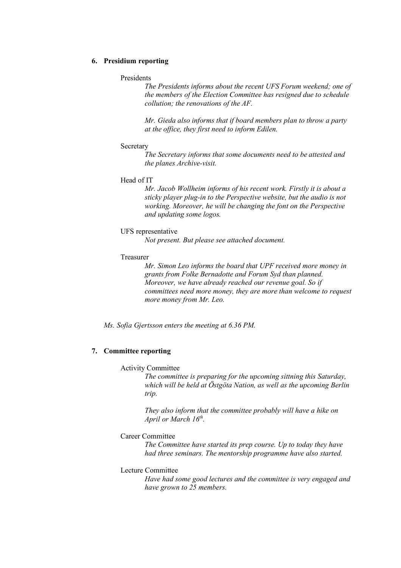### **6. Presidium reporting**

#### Presidents

*The Presidents informs about the recent UFS Forum weekend; one of the members of the Election Committee has resigned due to schedule collution; the renovations of the AF.* 

*Mr. Gieda also informs that if board members plan to throw a party at the office, they first need to inform Edilen.* 

#### **Secretary**

*The Secretary informs that some documents need to be attested and the planes Archive-visit.*

#### Head of IT

*Mr. Jacob Wollheim informs of his recent work. Firstly it is about a sticky player plug-in to the Perspective website, but the audio is not working. Moreover, he will be changing the font on the Perspective and updating some logos.*

#### UFS representative

*Not present. But please see attached document.*

#### Treasurer

*Mr. Simon Leo informs the board that UPF received more money in grants from Folke Bernadotte and Forum Syd than planned. Moreover, we have already reached our revenue goal. So if committees need more money, they are more than welcome to request more money from Mr. Leo.* 

*Ms. Sofia Gjertsson enters the meeting at 6.36 PM.* 

# **7. Committee reporting**

#### Activity Committee

*The committee is preparing for the upcoming sittning this Saturday, which will be held at Östgöta Nation, as well as the upcoming Berlin trip.*

*They also inform that the committee probably will have a hike on April or March 16<sup>th</sup>.* 

#### Career Committee

*The Committee have started its prep course. Up to today they have had three seminars. The mentorship programme have also started.* 

#### Lecture Committee

*Have had some good lectures and the committee is very engaged and have grown to 25 members.*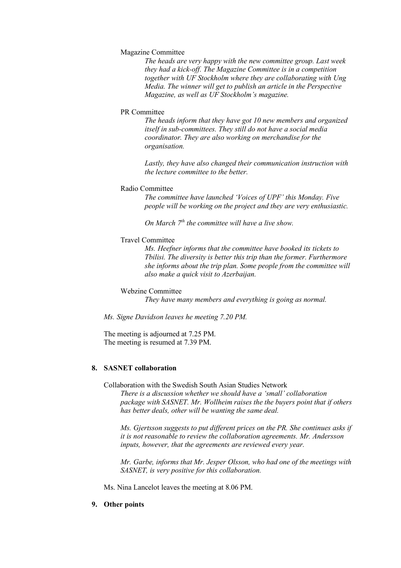## Magazine Committee

*The heads are very happy with the new committee group. Last week they had a kick-off. The Magazine Committee is in a competition together with UF Stockholm where they are collaborating with Ung Media. The winner will get to publish an article in the Perspective Magazine, as well as UF Stockholm's magazine.* 

#### PR Committee

*The heads inform that they have got 10 new members and organized itself in sub-committees. They still do not have a social media coordinator. They are also working on merchandise for the organisation.* 

*Lastly, they have also changed their communication instruction with the lecture committee to the better.*

# Radio Committee

*The committee have launched 'Voices of UPF' this Monday. Five people will be working on the project and they are very enthusiastic.* 

*On March 7th the committee will have a live show.* 

### Travel Committee

*Ms. Heefner informs that the committee have booked its tickets to Tbilisi. The diversity is better this trip than the former. Furthermore she informs about the trip plan. Some people from the committee will also make a quick visit to Azerbaijan.* 

Webzine Committee

*They have many members and everything is going as normal.*

*Ms. Signe Davidson leaves he meeting 7.20 PM.*

The meeting is adjourned at 7.25 PM. The meeting is resumed at 7.39 PM.

# **8. SASNET collaboration**

Collaboration with the Swedish South Asian Studies Network

*There is a discussion whether we should have a 'small' collaboration package with SASNET. Mr. Wollheim raises the the buyers point that if others has better deals, other will be wanting the same deal.* 

*Ms. Gjertsson suggests to put different prices on the PR. She continues asks if it is not reasonable to review the collaboration agreements. Mr. Andersson inputs, however, that the agreements are reviewed every year.* 

*Mr. Garbe, informs that Mr. Jesper Olsson, who had one of the meetings with SASNET, is very positive for this collaboration.*

Ms. Nina Lancelot leaves the meeting at 8.06 PM.

#### **9. Other points**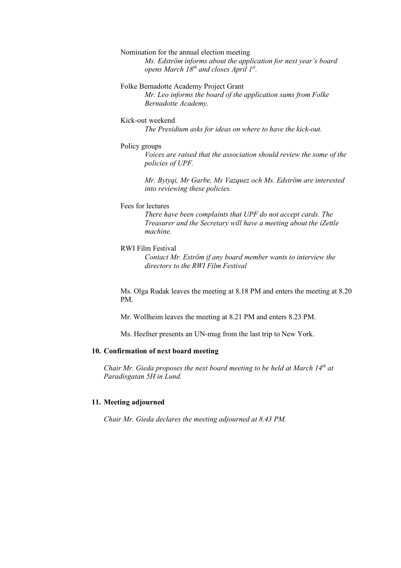### Nomination for the annual election meeting

*Ms. Edström informs about the application for next year's board opens March 18th and closes April 1st .* 

## Folke Bernadotte Academy Project Grant

*Mr. Leo informs the board of the application sums from Folke Bernadotte Academy.* 

#### Kick-out weekend

*The Presidium asks for ideas on where to have the kick-out.*

#### Policy groups

*Voices are raised that the association should review the some of the policies of UPF.* 

*Mr. Bytyqi, Mr Garbe, Ms Vazquez och Ms. Edström are interested into reviewing these policies.* 

### Fees for lectures

*There have been complaints that UPF do not accept cards. The Treasurer and the Secretary will have a meeting about the iZettle machine.* 

#### RWI Film Festival

*Contact Mr. Eström if any board member wants to interview the directors to the RWI Film Festival* 

Ms. Olga Rudak leaves the meeting at 8.18 PM and enters the meeting at 8.20 PM.

Mr. Wollheim leaves the meeting at 8.21 PM and enters 8.23 PM.

Ms. Heefner presents an UN-mug from the last trip to New York.

# **10. Confirmation of next board meeting**

*Chair Mr. Gieda proposes the next board meeting to be held at March 14th at Paradisgatan 5H in Lund.*

### **11. Meeting adjourned**

*Chair Mr. Gieda declares the meeting adjourned at 8.43 PM.*